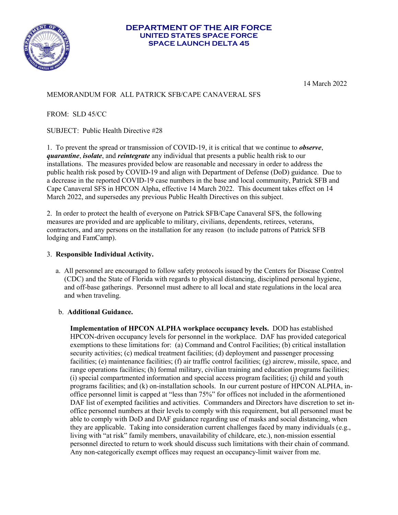

#### **DEPARTMENT OF THE AIR FORCE UNITED STATES SPACE FORCE SPACE LAUNCH DELTA 45**

14 March 2022

# MEMORANDUM FOR ALL PATRICK SFB/CAPE CANAVERAL SFS

FROM: SLD 45/CC

SUBJECT: Public Health Directive #28

1. To prevent the spread or transmission of COVID-19, it is critical that we continue to *observe*, *quarantine*, *isolate*, and *reintegrate* any individual that presents a public health risk to our installations. The measures provided below are reasonable and necessary in order to address the public health risk posed by COVID-19 and align with Department of Defense (DoD) guidance. Due to a decrease in the reported COVID-19 case numbers in the base and local community, Patrick SFB and Cape Canaveral SFS in HPCON Alpha, effective 14 March 2022. This document takes effect on 14 March 2022, and supersedes any previous Public Health Directives on this subject.

2. In order to protect the health of everyone on Patrick SFB/Cape Canaveral SFS, the following measures are provided and are applicable to military, civilians, dependents, retirees, veterans, contractors, and any persons on the installation for any reason (to include patrons of Patrick SFB lodging and FamCamp).

## 3. **Responsible Individual Activity.**

a.All personnel are encouraged to follow safety protocols issued by the Centers for Disease Control (CDC) and the State of Florida with regards to physical distancing, disciplined personal hygiene, and off-base gatherings. Personnel must adhere to all local and state regulations in the local area and when traveling.

### b. **Additional Guidance.**

**Implementation of HPCON ALPHA workplace occupancy levels.** DOD has established HPCON-driven occupancy levels for personnel in the workplace. DAF has provided categorical exemptions to these limitations for: (a) Command and Control Facilities; (b) critical installation security activities; (c) medical treatment facilities; (d) deployment and passenger processing facilities; (e) maintenance facilities; (f) air traffic control facilities; (g) aircrew, missile, space, and range operations facilities; (h) formal military, civilian training and education programs facilities; (i) special compartmented information and special access program facilities; (j) child and youth programs facilities; and (k) on-installation schools. In our current posture of HPCON ALPHA, inoffice personnel limit is capped at "less than 75%" for offices not included in the aformentioned DAF list of exempted facilities and activities. Commanders and Directors have discretion to set inoffice personnel numbers at their levels to comply with this requirement, but all personnel must be able to comply with DoD and DAF guidance regarding use of masks and social distancing, when they are applicable. Taking into consideration current challenges faced by many individuals (e.g., living with "at risk" family members, unavailability of childcare, etc.), non-mission essential personnel directed to return to work should discuss such limitations with their chain of command. Any non-categorically exempt offices may request an occupancy-limit waiver from me.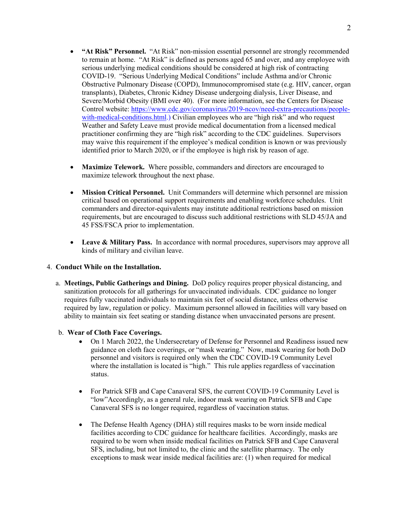- **"At Risk" Personnel.** "At Risk" non-mission essential personnel are strongly recommended to remain at home."At Risk" is defined as persons aged 65 and over, and any employee with serious underlying medical conditions should be considered at high risk of contracting COVID-19. "Serious Underlying Medical Conditions" include Asthma and/or Chronic Obstructive Pulmonary Disease (COPD), Immunocompromised state (e.g. HIV, cancer, organ transplants), Diabetes, Chronic Kidney Disease undergoing dialysis, Liver Disease, and Severe/Morbid Obesity (BMI over 40). (For more information, see the Centers for Disease Control website: https://www.cdc.gov/coronavirus/2019-ncov/need-extra-precautions/peoplewith-medical-conditions.html.) Civilian employees who are "high risk" and who request Weather and Safety Leave must provide medical documentation from a licensed medical practitioner confirming they are "high risk" according to the CDC guidelines. Supervisors may waive this requirement if the employee's medical condition is known or was previously identified prior to March 2020, or if the employee is high risk by reason of age.
- **Maximize Telework.** Where possible, commanders and directors are encouraged to maximize telework throughout the next phase.
- **Mission Critical Personnel.** Unit Commanders will determine which personnel are mission critical based on operational support requirements and enabling workforce schedules. Unit commanders and director-equivalents may institute additional restrictions based on mission requirements, but are encouraged to discuss such additional restrictions with SLD 45/JA and 45 FSS/FSCA prior to implementation.
- Leave & Military Pass. In accordance with normal procedures, supervisors may approve all kinds of military and civilian leave.

### 4. **Conduct While on the Installation.**

a. **Meetings, Public Gatherings and Dining.** DoD policy requires proper physical distancing, and sanitization protocols for all gatherings for unvaccinated individuals. CDC guidance no longer requires fully vaccinated individuals to maintain six feet of social distance, unless otherwise required by law, regulation or policy. Maximum personnel allowed in facilities will vary based on ability to maintain six feet seating or standing distance when unvaccinated persons are present.

### b. **Wear of Cloth Face Coverings.**

- On 1 March 2022, the Undersecretary of Defense for Personnel and Readiness issued new guidance on cloth face coverings, or "mask wearing." Now, mask wearing for both DoD personnel and visitors is required only when the CDC COVID-19 Community Level where the installation is located is "high." This rule applies regardless of vaccination status.
- For Patrick SFB and Cape Canaveral SFS, the current COVID-19 Community Level is "low"Accordingly, as a general rule, indoor mask wearing on Patrick SFB and Cape Canaveral SFS is no longer required, regardless of vaccination status.
- The Defense Health Agency (DHA) still requires masks to be worn inside medical facilities according to CDC guidance for healthcare facilities. Accordingly, masks are required to be worn when inside medical facilities on Patrick SFB and Cape Canaveral SFS, including, but not limited to, the clinic and the satellite pharmacy. The only exceptions to mask wear inside medical facilities are: (1) when required for medical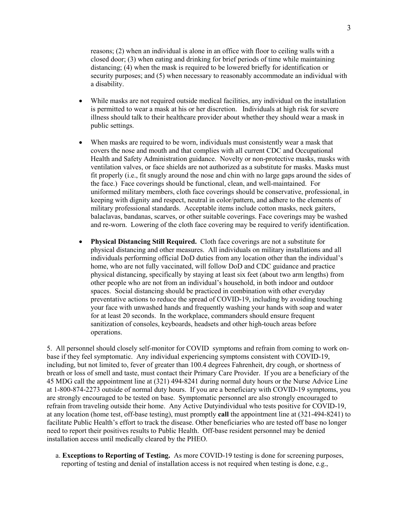reasons; (2) when an individual is alone in an office with floor to ceiling walls with a closed door; (3) when eating and drinking for brief periods of time while maintaining distancing; (4) when the mask is required to be lowered briefly for identification or security purposes; and (5) when necessary to reasonably accommodate an individual with a disability.

- While masks are not required outside medical facilities, any individual on the installation is permitted to wear a mask at his or her discretion. Individuals at high risk for severe illness should talk to their healthcare provider about whether they should wear a mask in public settings.
- When masks are required to be worn, individuals must consistently wear a mask that covers the nose and mouth and that complies with all current CDC and Occupational Health and Safety Administration guidance. Novelty or non-protective masks, masks with ventilation valves, or face shields are not authorized as a substitute for masks. Masks must fit properly (i.e., fit snugly around the nose and chin with no large gaps around the sides of the face.) Face coverings should be functional, clean, and well-maintained. For uniformed military members, cloth face coverings should be conservative, professional, in keeping with dignity and respect, neutral in color/pattern, and adhere to the elements of military professional standards. Acceptable items include cotton masks, neck gaiters, balaclavas, bandanas, scarves, or other suitable coverings. Face coverings may be washed and re-worn. Lowering of the cloth face covering may be required to verify identification.
- **Physical Distancing Still Required.** Cloth face coverings are not a substitute for physical distancing and other measures. All individuals on military installations and all individuals performing official DoD duties from any location other than the individual's home, who are not fully vaccinated, will follow DoD and CDC guidance and practice physical distancing, specifically by staying at least six feet (about two arm lengths) from other people who are not from an individual's household, in both indoor and outdoor spaces. Social distancing should be practiced in combination with other everyday preventative actions to reduce the spread of COVID-19, including by avoiding touching your face with unwashed hands and frequently washing your hands with soap and water for at least 20 seconds. In the workplace, commanders should ensure frequent sanitization of consoles, keyboards, headsets and other high-touch areas before operations.

5. All personnel should closely self-monitor for COVID symptoms and refrain from coming to work onbase if they feel symptomatic. Any individual experiencing symptoms consistent with COVID-19, including, but not limited to, fever of greater than 100.4 degrees Fahrenheit, dry cough, or shortness of breath or loss of smell and taste, must contact their Primary Care Provider. If you are a beneficiary of the 45 MDG call the appointment line at (321) 494-8241 during normal duty hours or the Nurse Advice Line at 1-800-874-2273 outside of normal duty hours. If you are a beneficiary with COVID-19 symptoms, you are strongly encouraged to be tested on base. Symptomatic personnel are also strongly encouraged to refrain from traveling outside their home. Any Active Dutyindividual who tests positive for COVID-19, at any location (home test, off-base testing), must promptly **call** the appointment line at (321-494-8241) to facilitate Public Health's effort to track the disease. Other beneficiaries who are tested off base no longer need to report their positives results to Public Health. Off-base resident personnel may be denied installation access until medically cleared by the PHEO.

a. **Exceptions to Reporting of Testing.** As more COVID-19 testing is done for screening purposes, reporting of testing and denial of installation access is not required when testing is done, e.g.,